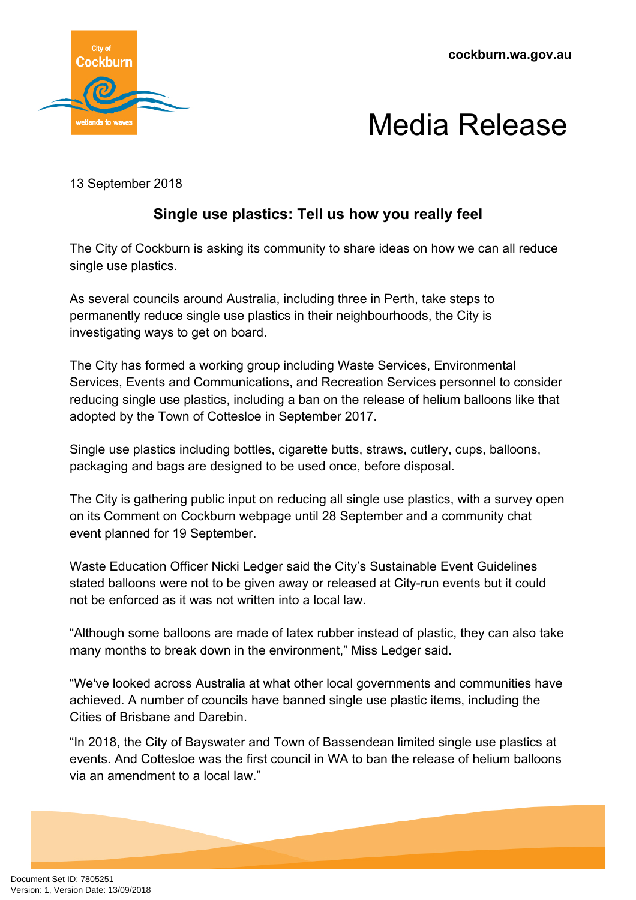**cockburn.wa.gov.au**





13 September 2018

## **Single use plastics: Tell us how you really feel**

The City of Cockburn is asking its community to share ideas on how we can all reduce single use plastics.

As several councils around Australia, including three in Perth, take steps to permanently reduce single use plastics in their neighbourhoods, the City is investigating ways to get on board.

The City has formed a working group including Waste Services, Environmental Services, Events and Communications, and Recreation Services personnel to consider reducing single use plastics, including a ban on the release of helium balloons like that adopted by the Town of Cottesloe in September 2017.

Single use plastics including bottles, cigarette butts, straws, cutlery, cups, balloons, packaging and bags are designed to be used once, before disposal.

The City is gathering public input on reducing all single use plastics, with a survey open on its Comment on Cockburn webpage until 28 September and a community chat event planned for 19 September.

Waste Education Officer Nicki Ledger said the City's Sustainable Event Guidelines stated balloons were not to be given away or released at City-run events but it could not be enforced as it was not written into a local law.

"Although some balloons are made of latex rubber instead of plastic, they can also take many months to break down in the environment," Miss Ledger said.

"We've looked across Australia at what other local governments and communities have achieved. A number of councils have banned single use plastic items, including the Cities of Brisbane and Darebin.

"In 2018, the City of Bayswater and Town of Bassendean limited single use plastics at events. And Cottesloe was the first council in WA to ban the release of helium balloons via an amendment to a local law."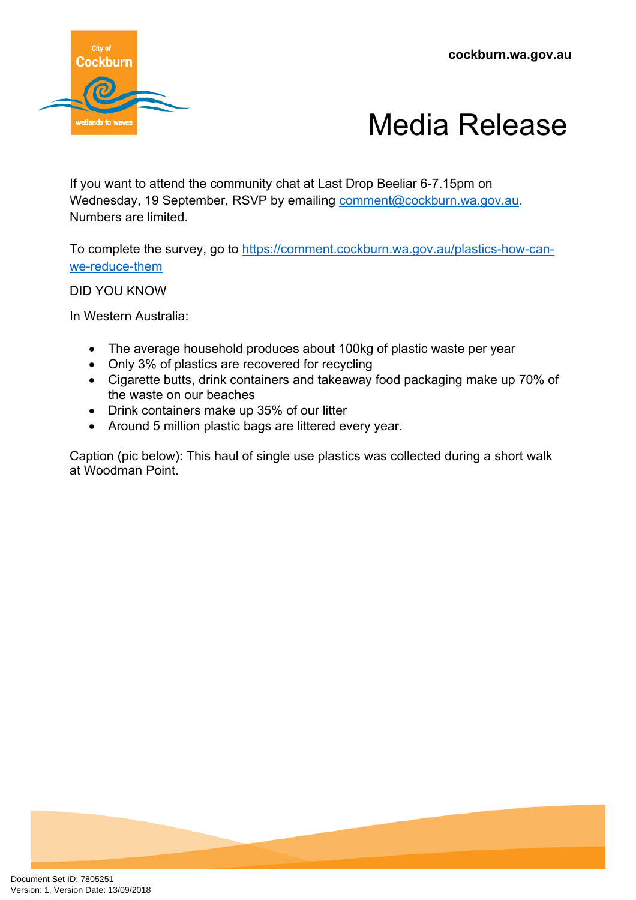**cockburn.wa.gov.au**





If you want to attend the community chat at Last Drop Beeliar 6-7.15pm on Wednesday, 19 September, RSVP by emailing [comment@cockburn.wa.gov.au.](mailto:comment@cockburn.wa.gov.au) Numbers are limited.

To complete the survey, go to [https://comment.cockburn.wa.gov.au/plastics-how-can](https://comment.cockburn.wa.gov.au/plastics-how-can-we-reduce-them)[we-reduce-them](https://comment.cockburn.wa.gov.au/plastics-how-can-we-reduce-them)

DID YOU KNOW

In Western Australia:

- The average household produces about 100kg of plastic waste per year
- Only 3% of plastics are recovered for recycling
- Cigarette butts, drink containers and takeaway food packaging make up 70% of the waste on our beaches
- Drink containers make up 35% of our litter
- Around 5 million plastic bags are littered every year.

Caption (pic below): This haul of single use plastics was collected during a short walk at Woodman Point.